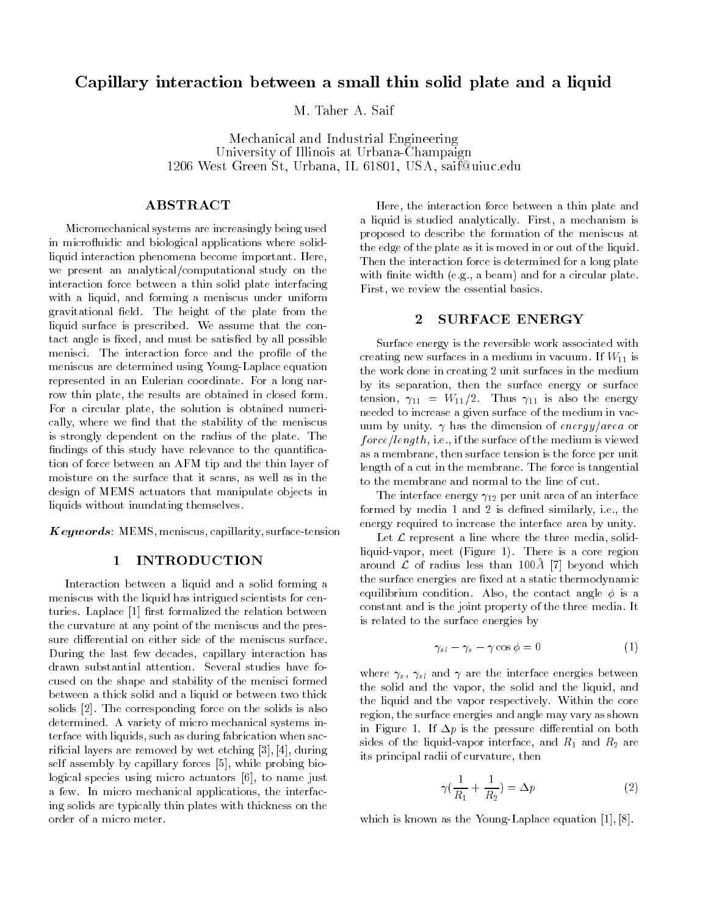# Capillary interaction between a small thin solid plate and a liquid

Mechanical and Industrial Engineering University of Illinois at Urbana-Champaign 1206 West Green St, Urbana, IL 61801, USA, saif@uiuc.edu

# ABSTRACT

Micromechanical systems are increasingly being used in microfluidic and biological applications where solidliquid interaction phenomena become important. Here, we present an analytical/computational study on the interaction force between a thin solid plate interfacing with a liquid, and forming a meniscus under uniform gravitational field. The height of the plate from the liquid surface is prescribed. We assume that the contact angle is fixed, and must be satisfied by all possible menisci. The interaction force and the profile of the meniscus are determined using Young-Laplace equation represented in an Eulerian coordinate. For a long narrow thin plate, the results are obtained in closed form. For a circular plate, the solution is obtained numerically, where we find that the stability of the meniscus is strongly dependent on the radius of the plate. The findings of this study have relevance to the quantification of force between an AFM tip and the thin layer of moisture on the surface that it scans, as well as in the design of MEMS actuators that manipulate objects in liquids without inundating themselves.

 $Keywords: MEMS, meniscus, capillarity, surface-tension$ 

## 1 INTRODUCTION

Interaction between a liquid and a solid forming a meniscus with the liquid has intrigued scientists for centuries. Laplace [1] first formalized the relation between the curvature at any point of the meniscus and the pressure differential on either side of the meniscus surface. During the last few decades, capillary interaction has drawn substantial attention. Several studies have focused on the shape and stability of the menisci formed between a thick solid and a liquid or between two thick solids [2]. The corresponding force on the solids is also determined. A variety of micro mechanical systems interface with liquids, such as during fabrication when sacricial layers are removed by wet etching [3], [4], during self assembly by capillary forces [5], while probing biological species using micro actuators [6], to name just a few. In micro mechanical applications, the interfacing solids are typically thin plates with thickness on the order of a micro meter.

Here, the interaction force between a thin plate and a liquid is studied analytically. First, a mechanism is proposed to describe the formation of the meniscus at the edge of the plate as it is moved in or out of the liquid. Then the interaction force is determined for a long plate with finite width (e.g., a beam) and for a circular plate. First, we review the essential basics.

#### SURFACE ENERGY  $\overline{2}$

Surface energy is the reversible work associated with creating new surfaces in a medium in vacuum. If  $W_{11}$  is the work done in creating 2 unit surfaces in the medium by its separation, then the surface energy or surface tension,  $\gamma_{11} = W_{11}/2$ . Thus  $\gamma_{11}$  is also the energy needed to increase a given surface of the medium in vacuum by unity.  $\gamma$  has the dimension of energy/area or  $force/length, i.e., if the surface of the medium is viewed$ as a membrane, then surface tension is the force per unit length of a cut in the membrane. The force is tangential to the membrane and normal to the line of cut.

The interface energy  $\gamma_{12}$  per unit area of an interface formed by media 1 and 2 is defined similarly, i.e., the energy required to increase the interface area by unity.

Let  $\mathcal L$  represent a line where the three media, solidliquid-vapor, meet (Figure 1). There is a core region around  ${\cal L}$  of radius less than 100Å [7] beyond which the surface energies are fixed at a static thermodynamic equilibrium condition. Also, the contact angle  $\phi$  is a constant and is the joint property of the three media. It is related to the surface energies by

$$
\gamma_{s\,l} - \gamma_s - \gamma \cos \phi = 0 \tag{1}
$$

where  $\gamma_s$ ,  $\gamma_{sl}$  and  $\gamma$  are the interface energies between the solid and the vapor, the solid and the liquid, and the liquid and the vapor respectively. Within the core region, the surface energies and angle may vary as shown in Figure 1. If  $\Delta p$  is the pressure differential on both sides of the liquid-vapor interface, and  $R_1$  and  $R_2$  are its principal radii of curvature, then

$$
\gamma(\frac{1}{R_1} + \frac{1}{R_2}) = \Delta p \tag{2}
$$

which is known as the Young-Laplace equation [1], [8].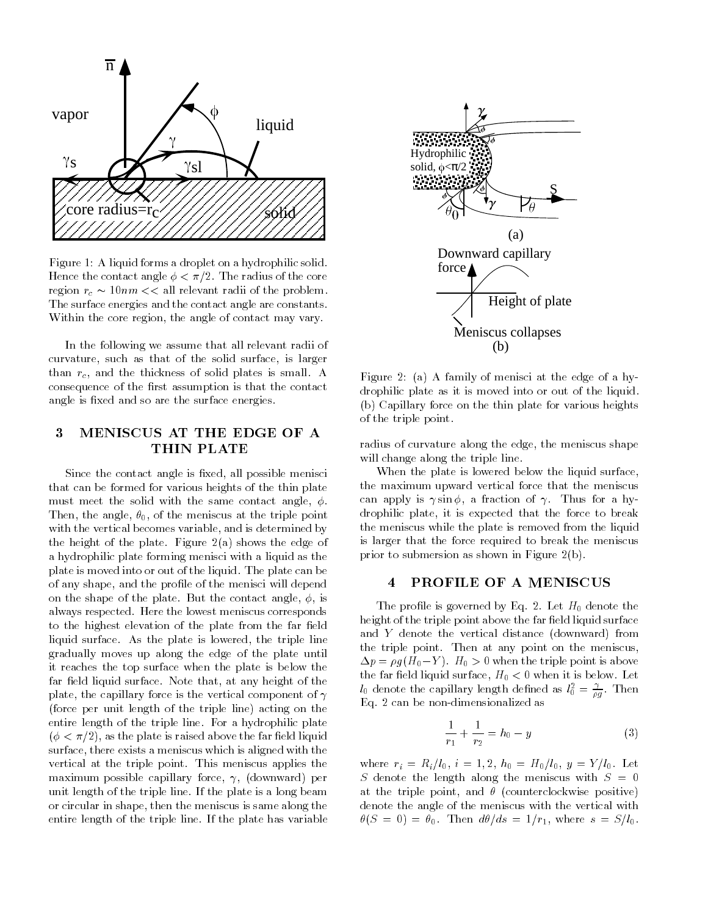

Figure 1: A liquid forms a droplet on a hydrophilic solid. Hence the contact angle  $\phi < \pi/2$ . The radius of the core region  $r_c \sim 10nm <<$  all relevant radii of the problem. The surface energies and the contact angle are constants. Within the core region, the angle of contact may vary.

In the following we assume that all relevant radii of curvature, such as that of the solid surface, is larger than  $r_c$ , and the thickness of solid plates is small. A consequence of the first assumption is that the contact angle is fixed and so are the surface energies.

# 3 MENISCUS AT THE EDGE OF A THIN PLATE

Since the contact angle is fixed, all possible menisci that can be formed for various heights of the thin plate must meet the solid with the same contact angle,  $\phi$ . Then, the angle,  $\theta_0$ , of the meniscus at the triple point with the vertical becomes variable, and is determined by the height of the plate. Figure  $2(a)$  shows the edge of a hydrophilic plate forming menisci with a liquid as the plate is moved into or out of the liquid. The plate can be of any shape, and the profile of the menisci will depend on the shape of the plate. But the contact angle,  $\phi$ , is always respected. Here the lowest meniscus corresponds to the highest elevation of the plate from the far field liquid surface. As the plate is lowered, the triple line gradually moves up along the edge of the plate until it reaches the top surface when the plate is below the far field liquid surface. Note that, at any height of the plate, the capillary force is the vertical component of  $\gamma$ (force per unit length of the triple line) acting on the entire length of the triple line. For a hydrophilic plate  $(\phi < \pi/2)$ , as the plate is raised above the far field liquid surface, there exists a meniscus which is aligned with the vertical at the triple point. This meniscus applies the maximum possible capillary force,  $\gamma$ , (downward) per unit length of the triple line. If the plate is a long beam or circular in shape, then the meniscus is same along the entire length of the triple line. If the plate has variable



Figure 2: (a) A family of menisci at the edge of a hydrophilic plate as it is moved into or out of the liquid. (b) Capillary force on the thin plate for various heights of the triple point.

radius of curvature along the edge, the meniscus shape will change along the triple line.

When the plate is lowered below the liquid surface, the maximum upward vertical force that the meniscus can apply is  $\gamma \sin \phi$ , a fraction of  $\gamma$ . Thus for a hydrophilic plate, it is expected that the force to break the meniscus while the plate is removed from the liquid is larger that the force required to break the meniscus prior to submersion as shown in Figure 2(b).

#### 4 PROFILE OF A MENISCUS

The profile is governed by Eq. 2. Let  $H_0$  denote the height of the triple point above the far field liquid surface and Y denote the vertical distance (downward) from the triple point. Then at any point on the meniscus,  $\Delta p = \rho g (H_0 - Y)$ .  $H_0 > 0$  when the triple point is above the far field liquid surface,  $H_0 < 0$  when it is below. Let  $l_0$  denote the capillary length defined as  $l_0^2=\frac{\gamma}{\rho g}$ . Then Eq. 2 can be non-dimensionalized as

$$
\frac{1}{r_1} + \frac{1}{r_2} = h_0 - y \tag{3}
$$

where  $r_i = R_i/l_0$ ,  $i = 1, 2$ ,  $h_0 = H_0/l_0$ ,  $y = Y/l_0$ . Let S denote the length along the meniscus with  $S = 0$ at the triple point, and  $\theta$  (counterclockwise positive) denote the angle of the meniscus with the vertical with  $\theta(S = 0) = \theta_0$ . Then  $d\theta/ds = 1/r_1$ , where  $s = S/l_0$ .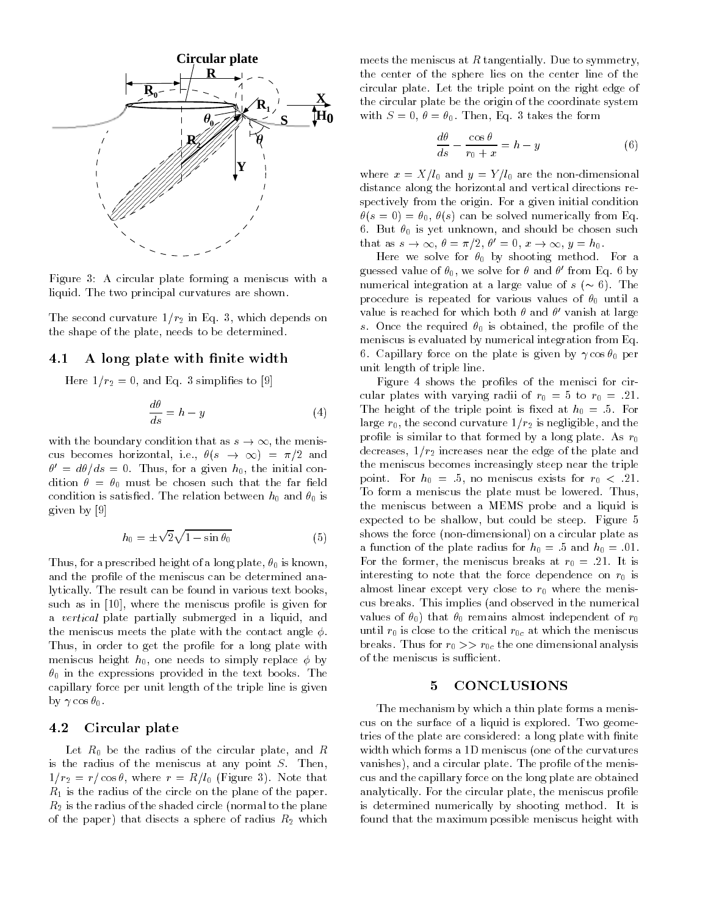

Figure 3: A circular plate forming a meniscus with a liquid. The two principal curvatures are shown.

The second curvature  $1/r_2$  in Eq. 3, which depends on the shape of the plate, needs to be determined.

### 4.1 A long plate with finite width

Here  $1/r_2 = 0$ , and Eq. 3 simplifies to [9]

$$
\frac{d\theta}{ds} = h - y \tag{4}
$$

with the boundary condition that as  $s \to \infty$ , the meniscus becomes horizontal, i.e.,  $\theta(s \to \infty) = \pi/2$  and  $\theta = a\theta / as = 0$ . Thus, for a given  $n_0$ , the initial condition  $\theta = \theta_0$  must be chosen such that the far field condition is satisfied. The relation between  $h_0$  and  $\theta_0$  is given by [9]

$$
h_0 = \pm \sqrt{2} \sqrt{1 - \sin \theta_0} \tag{5}
$$

Thus, for a prescribed height of a long plate,  $\theta_0$  is known, and the profile of the meniscus can be determined analytically. The result can be found in various text books, such as in [10], where the meniscus profile is given for a *vertical* plate partially submerged in a liquid, and the meniscus meets the plate with the contact angle  $\phi$ . Thus, in order to get the profile for a long plate with meniscus height  $h_0$ , one needs to simply replace  $\phi$  by  $\theta_0$  in the expressions provided in the text books. The capillary force per unit length of the triple line is given by  $\gamma \cos \theta_0$ .

#### 4.2 Circular plate

Let  $R_0$  be the radius of the circular plate, and R is the radius of the meniscus at any point  $S$ . Then,  $1/r_2 = r/\cos\theta$ , where  $r = R/l_0$  (Figure 3). Note that  $R_1$  is the radius of the circle on the plane of the paper.  $R_2$  is the radius of the shaded circle (normal to the plane of the paper) that disects a sphere of radius  $R_2$  which

meets the meniscus at R tangentially. Due to symmetry, the center of the sphere lies on the center line of the circular plate. Let the triple point on the right edge of the circular plate be the origin of the coordinate system with  $S = 0$ ,  $\theta = \theta_0$ . Then, Eq. 3 takes the form

$$
\frac{d\theta}{ds} - \frac{\cos\theta}{r_0 + x} = h - y \tag{6}
$$

where  $x = X/l_0$  and  $y = Y/l_0$  are the non-dimensional distance along the horizontal and vertical directions respectively from the origin. For a given initial condition  $\theta(s = 0) = \theta_0, \theta(s)$  can be solved numerically from Eq. 6. But  $\theta_0$  is yet unknown, and should be chosen such that as  $s \to \infty$ ,  $v = \pi/2$ ,  $v = 0$ ,  $x \to \infty$ ,  $y = n_0$ .

Here we solve for  $\theta_0$  by shooting method. For a guessed value of  $\theta_0$ , we solve for  $\theta$  and  $\theta$  from Eq. 6 by numerical integration at a large value of  $s (\sim 6)$ . The procedure is repeated for various values of  $\theta_0$  until a value is reached for which both  $\sigma$  and  $\sigma$  -vanish at large s. Once the required  $\theta_0$  is obtained, the profile of the meniscus is evaluated by numerical integration from Eq. 6. Capillary force on the plate is given by  $\gamma \cos \theta_0$  per unit length of triple line.

Figure 4 shows the profiles of the menisci for circular plates with varying radii of  $r_0 = 5$  to  $r_0 = .21$ . The height of the triple point is fixed at  $h_0 = .5$ . For large  $r_0$ , the second curvature  $1/r_2$  is negligible, and the profile is similar to that formed by a long plate. As  $r_0$ decreases,  $1/r_2$  increases near the edge of the plate and the meniscus becomes increasingly steep near the triple point. For  $h_0 = 0.5$ , no meniscus exists for  $r_0 < 0.21$ . To form a meniscus the plate must be lowered. Thus, the meniscus between a MEMS probe and a liquid is expected to be shallow, but could be steep. Figure 5 shows the force (non-dimensional) on a circular plate as a function of the plate radius for  $h_0 = .5$  and  $h_0 = .01$ . For the former, the meniscus breaks at  $r_0 = .21$ . It is interesting to note that the force dependence on  $r_0$  is almost linear except very close to  $r_0$  where the meniscus breaks. This implies (and observed in the numerical values of  $\theta_0$ ) that  $\theta_0$  remains almost independent of  $r_0$ until  $r_0$  is close to the critical  $r_{0c}$  at which the meniscus breaks. Thus for  $r_0 \gg r_{0c}$  the one dimensional analysis of the meniscus is sufficient.

# 5 CONCLUSIONS

The mechanism by which a thin plate forms a meniscus on the surface of a liquid is explored. Two geometries of the plate are considered: a long plate with finite width which forms a 1D meniscus (one of the curvatures vanishes), and a circular plate. The profile of the meniscus and the capillary force on the long plate are obtained analytically. For the circular plate, the meniscus profile is determined numerically by shooting method. It is found that the maximum possible meniscus height with